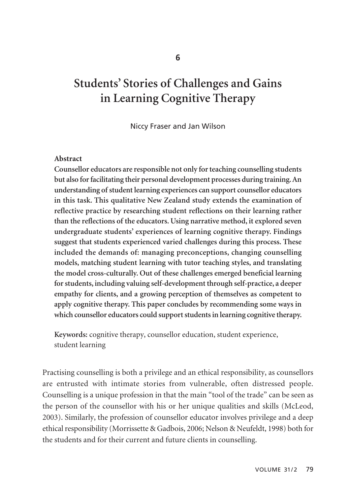# **Students' Stories of Challenges and Gains in Learning Cognitive Therapy**

Niccy Fraser and Jan Wilson

#### **Abstract**

**Counsellor educators are responsible not only for teaching counselling students but also for facilitating their personal development processes during training. An understanding of student learning experiences can support counsellor educators in this task. This qualitative New Zealand study extends the examination of reflective practice by researching student reflections on their learning rather than the reflections of the educators. Using narrative method, it explored seven undergraduate students' experiences of learning cognitive therapy. Findings suggest that students experienced varied challenges during this process. These included the demands of: managing preconceptions, changing counselling models, matching student learning with tutor teaching styles, and translating the model cross-culturally. Out of these challenges emerged beneficial learning for students, including valuing self-development through self-practice, a deeper empathy for clients, and a growing perception of themselves as competent to apply cognitive therapy. This paper concludes by recommending some ways in which counsellor educators could support students in learning cognitive therapy.** 

**Keywords:** cognitive therapy, counsellor education, student experience, student learning

Practising counselling is both a privilege and an ethical responsibility, as counsellors are entrusted with intimate stories from vulnerable, often distressed people. Counselling is a unique profession in that the main "tool of the trade" can be seen as the person of the counsellor with his or her unique qualities and skills (McLeod, 2003). Similarly, the profession of counsellor educator involves privilege and a deep ethical responsibility (Morrissette & Gadbois, 2006; Nelson & Neufeldt, 1998) both for the students and for their current and future clients in counselling.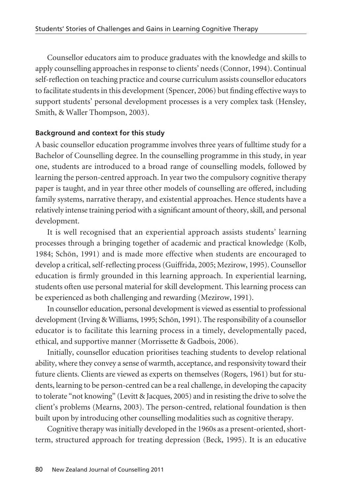Counsellor educators aim to produce graduates with the knowledge and skills to apply counselling approaches in response to clients' needs (Connor, 1994). Continual self-reflection on teaching practice and course curriculum assists counsellor educators to facilitate students in this development (Spencer, 2006) but finding effective ways to support students' personal development processes is a very complex task (Hensley, Smith, & Waller Thompson, 2003).

### **Background and context for this study**

A basic counsellor education programme involves three years of fulltime study for a Bachelor of Counselling degree. In the counselling programme in this study, in year one, students are introduced to a broad range of counselling models, followed by learning the person-centred approach. In year two the compulsory cognitive therapy paper is taught, and in year three other models of counselling are offered, including family systems, narrative therapy, and existential approaches. Hence students have a relatively intense training period with a significant amount of theory, skill, and personal development.

It is well recognised that an experiential approach assists students' learning processes through a bringing together of academic and practical knowledge (Kolb, 1984; Schön, 1991) and is made more effective when students are encouraged to develop a critical, self-reflecting process (Guiffrida, 2005; Mezirow, 1995). Counsellor education is firmly grounded in this learning approach. In experiential learning, students often use personal material for skill development. This learning process can be experienced as both challenging and rewarding (Mezirow, 1991).

In counsellor education, personal development is viewed as essential to professional development (Irving & Williams, 1995; Schön, 1991). The responsibility of a counsellor educator is to facilitate this learning process in a timely, developmentally paced, ethical, and supportive manner (Morrissette & Gadbois, 2006).

Initially, counsellor education prioritises teaching students to develop relational ability, where they convey a sense of warmth, acceptance, and responsivity toward their future clients. Clients are viewed as experts on themselves (Rogers, 1961) but for students, learning to be person-centred can be a real challenge, in developing the capacity to tolerate "not knowing" (Levitt & Jacques, 2005) and in resisting the drive to solve the client's problems (Mearns, 2003). The person-centred, relational foundation is then built upon by introducing other counselling modalities such as cognitive therapy.

Cognitive therapy was initially developed in the 1960s as a present-oriented, shortterm, structured approach for treating depression (Beck, 1995). It is an educative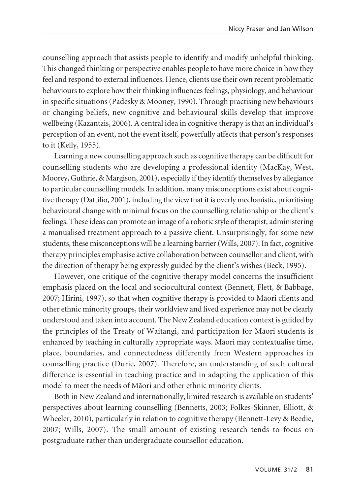counselling approach that assists people to identify and modify unhelpful thinking. This changed thinking or perspective enables people to have more choice in how they feel and respond to external influences. Hence, clients use their own recent problematic behaviours to explore how their thinking influences feelings, physiology, and behaviour in specific situations (Padesky & Mooney, 1990). Through practising new behaviours or changing beliefs, new cognitive and behavioural skills develop that improve wellbeing (Kazantzis, 2006). A central idea in cognitive therapy is that an individual's perception of an event, not the event itself, powerfully affects that person's responses to it (Kelly, 1955).

Learning a new counselling approach such as cognitive therapy can be difficult for counselling students who are developing a professional identity (MacKay, West, Moorey, Guthrie, & Margison, 2001), especially if they identify themselves by allegiance to particular counselling models. In addition, many misconceptions exist about cogni tive therapy (Dattilio, 2001), including the view that it is overly mechanistic, prioritising behavioural change with minimal focus on the counselling relationship or the client's feelings. These ideas can promote an image of a robotic style of therapist, administering a manualised treatment approach to a passive client. Unsurprisingly, for some new students, these misconceptions will be a learning barrier (Wills, 2007). In fact, cognitive therapy principles emphasise active collaboration between counsellor and client, with the direction of therapy being expressly guided by the client's wishes (Beck, 1995).

However, one critique of the cognitive therapy model concerns the insufficient emphasis placed on the local and sociocultural context (Bennett, Flett, & Babbage, 2007; Hirini, 1997), so that when cognitive therapy is provided to Mäori clients and other ethnic minority groups, their worldview and lived experience may not be clearly understood and taken into account. The New Zealand education context is guided by the principles of the Treaty of Waitangi, and participation for Mäori students is enhanced by teaching in culturally appropriate ways. Mäori may contextualise time, place, boundaries, and connectedness differently from Western approaches in counselling practice (Durie, 2007). Therefore, an understanding of such cultural difference is essential in teaching practice and in adapting the application of this model to meet the needs of Mäori and other ethnic minority clients.

Both in New Zealand and internationally, limited research is available on students' perspectives about learning counselling (Bennetts, 2003; Folkes-Skinner, Elliott, & Wheeler, 2010), particularly in relation to cognitive therapy (Bennett-Levy & Beedie, 2007; Wills, 2007). The small amount of existing research tends to focus on postgraduate rather than undergraduate counsellor education.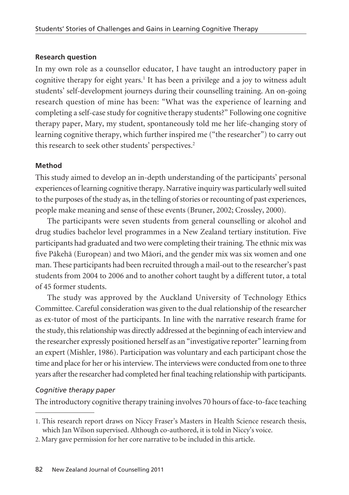### **Research question**

In my own role as a counsellor educator, I have taught an introductory paper in cognitive therapy for eight years.<sup>1</sup> It has been a privilege and a joy to witness adult students' self-development journeys during their counselling training. An on-going research question of mine has been: "What was the experience of learning and completing a self-case study for cognitive therapy students?" Following one cognitive therapy paper, Mary, my student, spontaneously told me her life-changing story of learning cognitive therapy, which further inspired me ("the researcher") to carry out this research to seek other students' perspectives.<sup>2</sup>

### **Method**

This study aimed to develop an in-depth understanding of the participants' personal experiences of learning cognitive therapy. Narrative inquiry was particularly well suited to the purposes of the study as, in the telling of stories or recounting of past experiences, people make meaning and sense of these events (Bruner, 2002; Crossley, 2000).

The participants were seven students from general counselling or alcohol and drug studies bachelor level programmes in a New Zealand tertiary institution. Five participants had graduated and two were completing their training. The ethnic mix was five Päkehä (European) and two Mäori, and the gender mix was six women and one man. These participants had been recruited through a mail-out to the researcher's past students from 2004 to 2006 and to another cohort taught by a different tutor, a total of 45 former students.

The study was approved by the Auckland University of Technology Ethics Committee. Careful consideration was given to the dual relationship of the researcher as ex-tutor of most of the participants. In line with the narrative research frame for the study, this relationship was directly addressed at the beginning of each interview and the researcher expressly positioned herself as an "investigative reporter" learning from an expert (Mishler, 1986). Participation was voluntary and each participant chose the time and place for her or his interview. The interviews were conducted from one to three years after the researcher had completed her final teaching relationship with participants.

### *Cognitive therapy paper*

The introductory cognitive therapy training involves 70 hours of face-to-face teaching

<sup>1.</sup> This research report draws on Niccy Fraser's Masters in Health Science research thesis, which Jan Wilson supervised. Although co-authored, it is told in Niccy's voice.

<sup>2.</sup> Mary gave permission for her core narrative to be included in this article.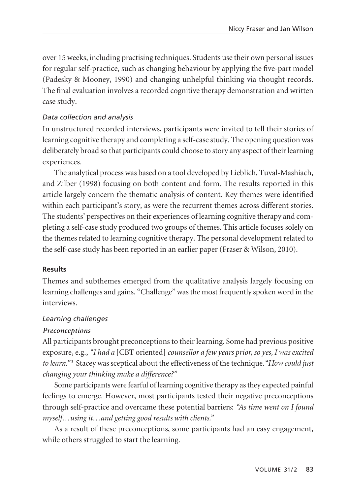over 15 weeks, including practising techniques. Students use their own personal issues for regular self-practice, such as changing behaviour by applying the five-part model (Padesky & Mooney, 1990) and changing unhelpful thinking via thought records. The final evaluation involves a recorded cognitive therapy demonstration and written case study.

### *Data collection and analysis*

In unstructured recorded interviews, participants were invited to tell their stories of learning cognitive therapy and completing a self-case study. The opening question was deliberately broad so that participants could choose to story any aspect of their learning experiences.

The analytical process was based on a tool developed by Lieblich, Tuval-Mashiach, and Zilber (1998) focusing on both content and form. The results reported in this article largely concern the thematic analysis of content. Key themes were identified within each participant's story, as were the recurrent themes across different stories. The students' perspectives on their experiences of learning cognitive therapy and completing a self-case study produced two groups of themes. This article focuses solely on the themes related to learning cognitive therapy. The personal development related to the self-case study has been reported in an earlier paper (Fraser & Wilson, 2010).

### **Results**

Themes and subthemes emerged from the qualitative analysis largely focusing on learning challenges and gains. "Challenge" was the most frequently spoken word in the interviews.

### *Learning challenges*

### *Preconceptions*

All participants brought preconceptions to their learning. Some had previous positive exposure, e.g., *"I had a* [CBT oriented] *counsellor a few years prior, so yes, I was excited to learn."* <sup>3</sup> Stacey was sceptical about the effectiveness of the technique.*"How could just changing your thinking make a difference?"*

Some participants were fearful of learning cognitive therapy as they expected painful feelings to emerge. However, most participants tested their negative preconceptions through self-practice and overcame these potential barriers: *"As time went on I found myself…using it…and getting good results with clients."*

As a result of these preconceptions, some participants had an easy engagement, while others struggled to start the learning.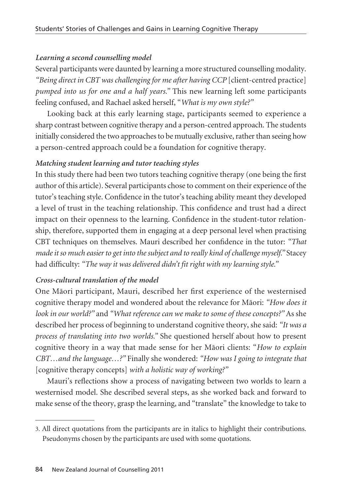### *Learning a second counselling model*

Several participants were daunted by learning a more structured counselling modality. *"Being direct in CBT was challenging for me after having CCP* [client-centred practice] *pumped into us for one and a half years."* This new learning left some participants feeling confused, and Rachael asked herself, "*What is my own style?"*

Looking back at this early learning stage, participants seemed to experience a sharp contrast between cognitive therapy and a person-centred approach. The students initially considered the two approaches to be mutually exclusive, rather than seeing how a person-centred approach could be a foundation for cognitive therapy.

### *Matching student learning and tutor teaching styles*

In this study there had been two tutors teaching cognitive therapy (one being the first author of this article). Several participants chose to comment on their experience of the tutor's teaching style. Confidence in the tutor's teaching ability meant they developed a level of trust in the teaching relationship. This confidence and trust had a direct impact on their openness to the learning. Confidence in the student-tutor relationship, therefore, supported them in engaging at a deep personal level when practising CBT techniques on themselves. Mauri described her confidence in the tutor: *"That made it so much easier to get into the subject and to really kind of challenge myself."* Stacey had difficulty: *"The way it was delivered didn't fit right with my learning style."*

## *Cross-cultural translation of the model*

One Mäori participant, Mauri, described her first experience of the westernised cognitive therapy model and wondered about the relevance for Mäori: *"How does it look in our world?"* and *"What reference can we make to some of these concepts?"* As she described her process of beginning to understand cognitive theory, she said: *"It was a process of translating into two worlds."* She questioned herself about how to present cognitive theory in a way that made sense for her Mäori clients: "*How to explain CBT…and the language…?"* Finally she wondered: *"How was I going to integrate that* [cognitive therapy concepts] *with a holistic way of working?"*

Mauri's reflections show a process of navigating between two worlds to learn a westernised model. She described several steps, as she worked back and forward to make sense of the theory, grasp the learning, and "translate" the knowledge to take to

<sup>3.</sup> All direct quotations from the participants are in italics to highlight their contributions. Pseudonyms chosen by the participants are used with some quotations.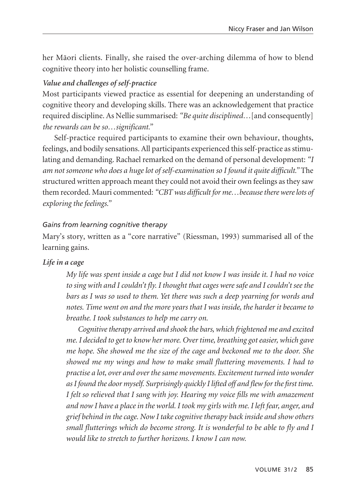her Mäori clients. Finally, she raised the over-arching dilemma of how to blend cognitive theory into her holistic counselling frame.

### *Value and challenges of self-practice*

Most participants viewed practice as essential for deepening an understanding of cognitive theory and developing skills. There was an acknowledgement that practice required discipline. As Nellie summarised: *"Be quite disciplined…*[and consequently] *the rewards can be so…significant."*

Self-practice required participants to examine their own behaviour, thoughts, feelings, and bodily sensations. All participants experienced this self-practice as stimulating and demanding. Rachael remarked on the demand of personal development: *"I am not someone who does a huge lot of self-examination so I found it quite difficult."* The structured written approach meant they could not avoid their own feelings as they saw them recorded. Mauri commented: *"CBT was difficult for me…because there were lots of exploring the feelings."*

#### *Gains from learning cognitive therapy*

Mary's story, written as a "core narrative" (Riessman, 1993) summarised all of the learning gains.

#### *Life in a cage*

*My life was spent inside a cage but I did not know I was inside it. I had no voice to sing with and I couldn't fly. I thought that cages were safe and I couldn't see the bars as I was so used to them. Yet there was such a deep yearning for words and notes. Time went on and the more years that I was inside, the harder it became to breathe. I took substances to help me carry on.*

*Cognitive therapy arrived and shook the bars, which frightened me and excited me. I decided to get to know her more. Over time, breathing got easier, which gave me hope. She showed me the size of the cage and beckoned me to the door. She showed me my wings and how to make small fluttering movements. I had to practise a lot, over and over the same movements. Excitement turned into wonder as I found the door myself. Surprisingly quickly I lifted off and flew for the first time. I felt so relieved that I sang with joy. Hearing my voice fills me with amazement and now I have a place in the world. I took my girls with me. I left fear, anger, and grief behind in the cage. Now I take cognitive therapy back inside and show others small flutterings which do become strong. It is wonderful to be able to fly and I would like to stretch to further horizons. I know I can now.*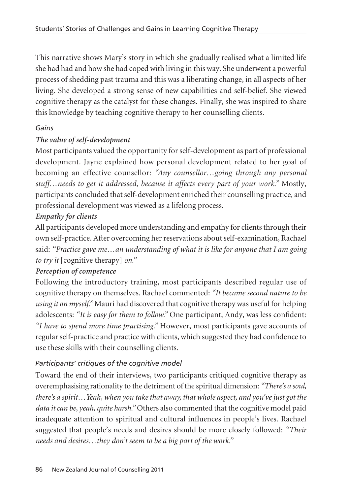This narrative shows Mary's story in which she gradually realised what a limited life she had had and how she had coped with living in this way. She underwent a powerful process of shedding past trauma and this was a liberating change, in all aspects of her living. She developed a strong sense of new capabilities and self-belief. She viewed cognitive therapy as the catalyst for these changes. Finally, she was inspired to share this knowledge by teaching cognitive therapy to her counselling clients.

# *Gains*

# *The value of self-development*

Most participants valued the opportunity for self-development as part of professional development. Jayne explained how personal development related to her goal of becoming an effective counsellor: *"Any counsellor…going through any personal stuff…needs to get it addressed, because it affects every part of your work."* Mostly, participants concluded that self-development enriched their counselling practice, and professional development was viewed as a lifelong process.

# *Empathy for clients*

All participants developed more understanding and empathy for clients through their own self-practice. After overcoming her reservations about self-examination, Rachael said: *"Practice gave me…an understanding of what it is like for anyone that I am going to try it* [cognitive therapy] *on."*

## *Perception of competence*

Following the introductory training, most participants described regular use of cognitive therapy on themselves. Rachael commented: *"It became second nature to be using it on myself."* Mauri had discovered that cognitive therapy was useful for helping adolescents: *"It is easy for them to follow."* One participant, Andy, was less confident: *"I have to spend more time practising."* However, most participants gave accounts of regular self-practice and practice with clients, which suggested they had confidence to use these skills with their counselling clients.

# *Participants' critiques of the cognitive model*

Toward the end of their interviews, two participants critiqued cognitive therapy as overemphasising rationality to the detriment of the spiritual dimension: *"There's a soul, there's a spirit…Yeah, when you take that away, that whole aspect, and you've just got the data it can be, yeah, quite harsh."* Others also commented that the cognitive model paid inadequate attention to spiritual and cultural influences in people's lives. Rachael suggested that people's needs and desires should be more closely followed: *"Their needs and desires…they don't seem to be a big part of the work."*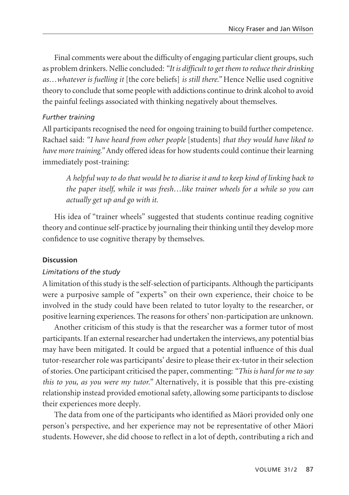Final comments were about the difficulty of engaging particular client groups, such as problem drinkers. Nellie concluded: *"It is difficult to get them to reduce their drinking as…whatever is fuelling it* [the core beliefs] *is still there."* Hence Nellie used cognitive theory to conclude that some people with addictions continue to drink alcohol to avoid the painful feelings associated with thinking negatively about themselves.

### *Further training*

All participants recognised the need for ongoing training to build further competence. Rachael said: *"I have heard from other people* [students] *that they would have liked to have more training."* Andy offered ideas for how students could continue their learning immediately post-training:

*A helpful way to do that would be to diarise it and to keep kind of linking back to the paper itself, while it was fresh…like trainer wheels for a while so you can actually get up and go with it.*

His idea of "trainer wheels" suggested that students continue reading cognitive theory and continue self-practice by journaling their thinking until they develop more confidence to use cognitive therapy by themselves.

#### **Discussion**

#### *Limitations of the study*

A limitation of this study is the self-selection of participants. Although the participants were a purposive sample of "experts" on their own experience, their choice to be involved in the study could have been related to tutor loyalty to the researcher, or positive learning experiences. The reasons for others' non-participation are unknown.

Another criticism of this study is that the researcher was a former tutor of most participants. If an external researcher had undertaken the interviews, any potential bias may have been mitigated. It could be argued that a potential influence of this dual tutor-researcher role was participants' desire to please their ex-tutor in their selection of stories. One participant criticised the paper, commenting: *"This is hard for me to say this to you, as you were my tutor."* Alternatively, it is possible that this pre-existing relationship instead provided emotional safety, allowing some participants to disclose their experiences more deeply.

The data from one of the participants who identified as Mäori provided only one person's perspective, and her experience may not be representative of other Mäori students. However, she did choose to reflect in a lot of depth, contributing a rich and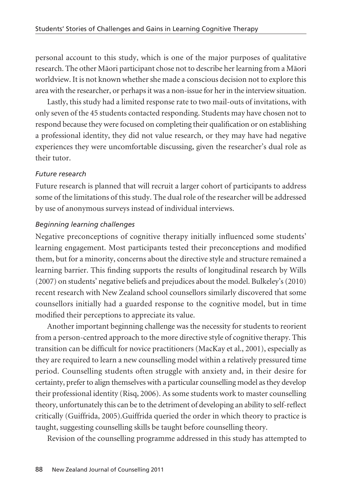personal account to this study, which is one of the major purposes of qualitative research. The other Mäori participant chose not to describe her learning from a Mäori worldview. It is not known whether she made a conscious decision not to explore this area with the researcher, or perhaps it was a non-issue for her in the interview situation.

Lastly, this study had a limited response rate to two mail-outs of invitations, with only seven of the 45 students contacted responding. Students may have chosen not to respond because they were focused on completing their qualification or on establishing a professional identity, they did not value research, or they may have had negative experiences they were uncomfortable discussing, given the researcher's dual role as their tutor.

### *Future research*

Future research is planned that will recruit a larger cohort of participants to address some of the limitations of this study. The dual role of the researcher will be addressed by use of anonymous surveys instead of individual interviews.

### *Beginning learning challenges*

Negative preconceptions of cognitive therapy initially influenced some students' learning engagement. Most participants tested their preconceptions and modified them, but for a minority, concerns about the directive style and structure remained a learning barrier. This finding supports the results of longitudinal research by Wills (2007) on students' negative beliefs and prejudices about the model. Bulkeley's (2010) recent research with New Zealand school counsellors similarly discovered that some counsellors initially had a guarded response to the cognitive model, but in time modified their perceptions to appreciate its value.

Another important beginning challenge was the necessity for students to reorient from a person-centred approach to the more directive style of cognitive therapy. This transition can be difficult for novice practitioners (MacKay et al., 2001), especially as they are required to learn a new counselling model within a relatively pressured time period. Counselling students often struggle with anxiety and, in their desire for certainty, prefer to align themselves with a particular counselling model as they develop their professional identity (Risq, 2006). As some students work to master counselling theory, unfortunately this can be to the detriment of developing an ability to self-reflect critically (Guiffrida, 2005).Guiffrida queried the order in which theory to practice is taught, suggesting counselling skills be taught before counselling theory.

Revision of the counselling programme addressed in this study has attempted to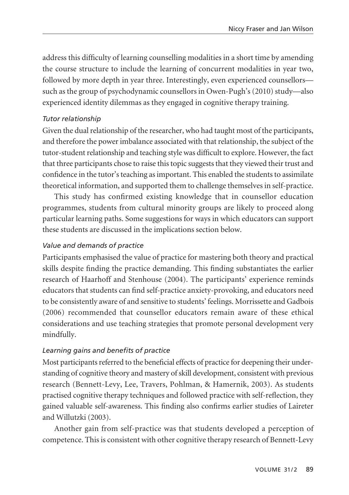address this difficulty of learning counselling modalities in a short time by amending the course structure to include the learning of concurrent modalities in year two, followed by more depth in year three. Interestingly, even experienced counsellors such as the group of psychodynamic counsellors in Owen-Pugh's (2010) study—also experienced identity dilemmas as they engaged in cognitive therapy training.

### *Tutor relationship*

Given the dual relationship of the researcher, who had taught most of the participants, and therefore the power imbalance associated with that relationship, the subject of the tutor-student relationship and teaching style was difficult to explore. However, the fact that three participants chose to raise this topic suggests that they viewed their trust and confidence in the tutor's teaching as important. This enabled the students to assimilate theoretical information, and supported them to challenge themselves in self-practice.

This study has confirmed existing knowledge that in counsellor education programmes, students from cultural minority groups are likely to proceed along particular learning paths. Some suggestions for ways in which educators can support these students are discussed in the implications section below.

### *Value and demands of practice*

Participants emphasised the value of practice for mastering both theory and practical skills despite finding the practice demanding. This finding substantiates the earlier research of Haarhoff and Stenhouse (2004). The participants' experience reminds educators that students can find self-practice anxiety-provoking, and educators need to be consistently aware of and sensitive to students' feelings. Morrissette and Gadbois (2006) recommended that counsellor educators remain aware of these ethical considerations and use teaching strategies that promote personal development very mindfully.

### *Learning gains and benefits of practice*

Most participants referred to the beneficial effects of practice for deepening their understanding of cognitive theory and mastery of skill development, consistent with previous research (Bennett-Levy, Lee, Travers, Pohlman, & Hamernik, 2003). As students practised cognitive therapy techniques and followed practice with self-reflection, they gained valuable self-awareness. This finding also confirms earlier studies of Laireter and Willutzki (2003).

Another gain from self-practice was that students developed a perception of competence. This is consistent with other cognitive therapy research of Bennett-Levy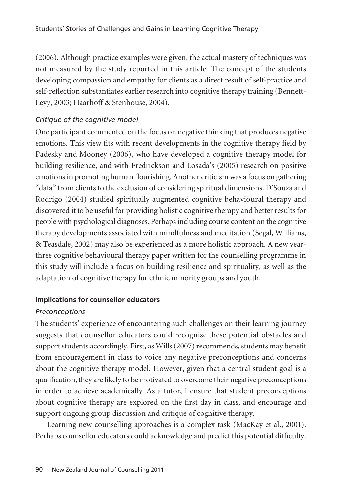(2006). Although practice examples were given, the actual mastery of techniques was not measured by the study reported in this article. The concept of the students developing compassion and empathy for clients as a direct result of self-practice and self-reflection substantiates earlier research into cognitive therapy training (Bennett-Levy, 2003; Haarhoff & Stenhouse, 2004).

### *Critique of the cognitive model*

One participant commented on the focus on negative thinking that produces negative emotions. This view fits with recent developments in the cognitive therapy field by Padesky and Mooney (2006), who have developed a cognitive therapy model for building resilience, and with Fredrickson and Losada's (2005) research on positive emotions in promoting human flourishing. Another criticism was a focus on gathering "data" from clients to the exclusion of considering spiritual dimensions. D'Souza and Rodrigo (2004) studied spiritually augmented cognitive behavioural therapy and discovered it to be useful for providing holistic cognitive therapy and better results for people with psychological diagnoses. Perhaps including course content on the cognitive therapy developments associated with mindfulness and meditation (Segal, Williams, & Teasdale, 2002) may also be experienced as a more holistic approach. A new yearthree cognitive behavioural therapy paper written for the counselling programme in this study will include a focus on building resilience and spirituality, as well as the adaptation of cognitive therapy for ethnic minority groups and youth.

### **Implications for counsellor educators**

### *Preconceptions*

The students' experience of encountering such challenges on their learning journey suggests that counsellor educators could recognise these potential obstacles and support students accordingly. First, as Wills (2007) recommends, students may benefit from encouragement in class to voice any negative preconceptions and concerns about the cognitive therapy model. However, given that a central student goal is a qualification, they are likely to be motivated to overcome their negative preconceptions in order to achieve academically. As a tutor, I ensure that student preconceptions about cognitive therapy are explored on the first day in class, and encourage and support ongoing group discussion and critique of cognitive therapy.

Learning new counselling approaches is a complex task (MacKay et al., 2001). Perhaps counsellor educators could acknowledge and predict this potential difficulty.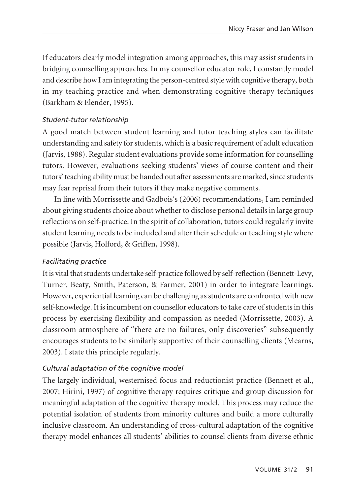If educators clearly model integration among approaches, this may assist students in bridging counselling approaches. In my counsellor educator role, I constantly model and describe how I am integrating the person-centred style with cognitive therapy, both in my teaching practice and when demonstrating cognitive therapy techniques (Barkham & Elender, 1995).

### *Student-tutor relationship*

A good match between student learning and tutor teaching styles can facilitate understanding and safety for students, which is a basic requirement of adult education (Jarvis, 1988). Regular student evaluations provide some information for counselling tutors. However, evaluations seeking students' views of course content and their tutors' teaching ability must be handed out after assessments are marked, since students may fear reprisal from their tutors if they make negative comments.

In line with Morrissette and Gadbois's (2006) recommendations, I am reminded about giving students choice about whether to disclose personal details in large group reflections on self-practice. In the spirit of collaboration, tutors could regularly invite student learning needs to be included and alter their schedule or teaching style where possible (Jarvis, Holford, & Griffen, 1998).

### *Facilitating practice*

It is vital that students undertake self-practice followed by self-reflection (Bennett-Levy, Turner, Beaty, Smith, Paterson, & Farmer, 2001) in order to integrate learnings. However, experiential learning can be challenging as students are confronted with new self-knowledge. It is incumbent on counsellor educators to take care of students in this process by exercising flexibility and compassion as needed (Morrissette, 2003). A classroom atmosphere of "there are no failures, only discoveries" subsequently encourages students to be similarly supportive of their counselling clients (Mearns, 2003). I state this principle regularly.

### *Cultural adaptation of the cognitive model*

The largely individual, westernised focus and reductionist practice (Bennett et al., 2007; Hirini, 1997) of cognitive therapy requires critique and group discussion for meaningful adaptation of the cognitive therapy model. This process may reduce the potential isolation of students from minority cultures and build a more culturally inclusive classroom. An understanding of cross-cultural adaptation of the cognitive therapy model enhances all students' abilities to counsel clients from diverse ethnic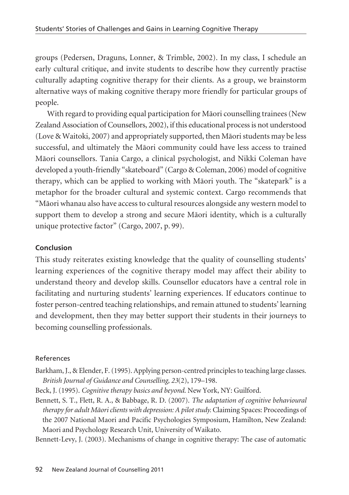groups (Pedersen, Draguns, Lonner, & Trimble, 2002). In my class, I schedule an early cultural critique, and invite students to describe how they currently practise culturally adapting cognitive therapy for their clients. As a group, we brainstorm alternative ways of making cognitive therapy more friendly for particular groups of people.

With regard to providing equal participation for Mäori counselling trainees (New Zealand Association of Counsellors, 2002), if this educational process is not understood (Love & Waitoki, 2007) and appropriately supported, then Mäori students may be less successful, and ultimately the Mäori community could have less access to trained Mäori counsellors. Tania Cargo, a clinical psychologist, and Nikki Coleman have developed a youth-friendly "skateboard" (Cargo & Coleman, 2006) model of cognitive therapy, which can be applied to working with Mäori youth. The "skatepark" is a metaphor for the broader cultural and systemic context. Cargo recommends that "Mäori whanau also have access to cultural resources alongside any western model to support them to develop a strong and secure Mäori identity, which is a culturally unique protective factor" (Cargo, 2007, p. 99).

### **Conclusion**

This study reiterates existing knowledge that the quality of counselling students' learning experiences of the cognitive therapy model may affect their ability to understand theory and develop skills. Counsellor educators have a central role in facilitating and nurturing students' learning experiences. If educators continue to foster person-centred teaching relationships, and remain attuned to students' learning and development, then they may better support their students in their journeys to becoming counselling professionals.

### References

- Barkham, J., & Elender, F. (1995). Applying person-centred principles to teaching large classes. *British Journal of Guidance and Counselling, 23*(2), 179–198.
- Beck, J. (1995). *Cognitive therapy basics and beyond*. New York, NY: Guilford.

Bennett, S. T., Flett, R. A., & Babbage, R. D. (2007). *The adaptation of cognitive behavioural therapy for adult Mäori clients with depression: A pilot study.* Claiming Spaces: Proceedings of the 2007 National Maori and Pacific Psychologies Symposium, Hamilton, New Zealand: Maori and Psychology Research Unit, University of Waikato.

Bennett-Levy, J. (2003). Mechanisms of change in cognitive therapy: The case of automatic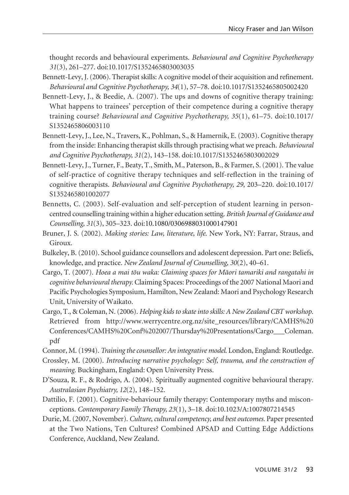thought records and behavioural experiments. *Behavioural and Cognitive Psychotherapy 31*(3), 261–277. doi:10.1017/S1352465803003035

- Bennett-Levy, J. (2006). Therapist skills: A cognitive model of their acquisition and refinement. *Behavioural and Cognitive Psychotherapy, 34*(1), 57–78. doi:10.1017/S1352465805002420
- Bennett-Levy, J., & Beedie, A. (2007). The ups and downs of cognitive therapy training: What happens to trainees' perception of their competence during a cognitive therapy training course? *Behavioural and Cognitive Psychotherapy, 35*(1), 61–75. doi:10.1017/ S1352465806003110
- Bennett-Levy, J., Lee, N., Travers, K., Pohlman, S., & Hamernik, E. (2003). Cognitive therapy from the inside: Enhancing therapist skills through practising what we preach. *Behavioural and Cognitive Psychotherapy, 31*(2), 143–158. doi:10.1017/S1352465803002029
- Bennett-Levy, J., Turner, F., Beaty, T., Smith, M., Paterson, B., & Farmer, S. (2001). The value of self-practice of cognitive therapy techniques and self-reflection in the training of cognitive therapists. *Behavioural and Cognitive Psychotherapy, 29*, 203–220. doi:10.1017/ S1352465801002077
- Bennetts, C. (2003). Self-evaluation and self-perception of student learning in personcentred counselling training within a higher education setting. *British Journal of Guidance and Counselling, 31*(3), 305–323. doi:10.1080/0306988031000147901
- Bruner, J. S. (2002). *Making stories: Law, literature, life*. New York, NY: Farrar, Straus, and Giroux.
- Bulkeley, B. (2010). School guidance counsellors and adolescent depression. Part one: Beliefs, knowledge, and practice. *New Zealand Journal of Counselling, 30*(2), 40–61.
- Cargo, T. (2007). *Hoea a mai töu waka: Claiming spaces for Mäori tamariki and rangatahi in cognitive behavioural therapy.* Claiming Spaces: Proceedings of the 2007 National Maori and Pacific Psychologies Symposium, Hamilton, New Zealand: Maori and Psychology Research Unit, University of Waikato.
- Cargo, T., & Coleman, N. (2006). *Helping kids to skate into skills: A New Zealand CBT workshop*. Retrieved from http://www.werrycentre.org.nz/site\_resources/library/CAMHS%20 Conferences/CAMHS%20Conf%202007/Thursday%20Presentations/Cargo\_\_\_Coleman. pdf
- Connor, M. (1994). *Training the counsellor: An integrative model*. London, England: Routledge.
- Crossley, M. (2000). *Introducing narrative psychology: Self, trauma, and the construction of meaning*. Buckingham, England: Open University Press.
- D'Souza, R. F., & Rodrigo, A. (2004). Spiritually augmented cognitive behavioural therapy. *Australasian Psychiatry, 12*(2), 148–152.
- Dattilio, F. (2001). Cognitive-behaviour family therapy: Contemporary myths and misconceptions. *Contemporary Family Therapy, 23*(1), 3–18. doi:10.1023/A:1007807214545
- Durie, M. (2007, November). *Culture, cultural competency, and best outcomes.* Paper presented at the Two Nations, Ten Cultures? Combined APSAD and Cutting Edge Addictions Conference, Auckland, New Zealand.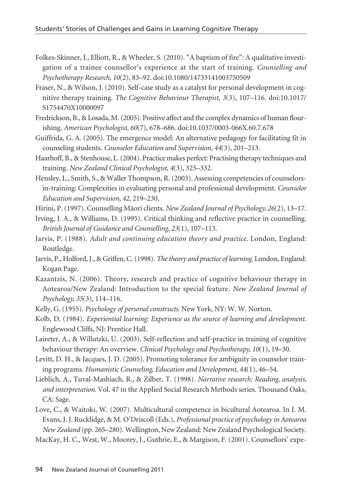- Folkes-Skinner, J., Elliott, R., & Wheeler, S. (2010). "A baptism of fire": A qualitative investigation of a trainee counsellor's experience at the start of training. *Counselling and Psychotherapy Research, 10*(2), 83–92. doi:10.1080/14733141003750509
- Fraser, N., & Wilson, J. (2010). Self-case study as a catalyst for personal development in cognitive therapy training. *The Cognitive Behaviour Therapist, 3*(3), 107–116. doi:10.1017/ S1754470X10000097
- Fredrickson, B., & Losada, M. (2005). Positive affect and the complex dynamics of human flourishing. *American Psychologist, 60*(7), 678–686. doi:10.1037/0003-066X.60.7.678
- Guiffrida, G. A. (2005). The emergence model: An alternative pedagogy for facilitating fit in counseling students. *Counselor Education and Supervision, 44*(3), 201–213.
- Haarhoff, B., & Stenhouse, L. (2004). Practice makes perfect: Practising therapy techniques and training. *New Zealand Clinical Psychologist, 4*(3), 325–332.
- Hensley, L., Smith, S., & Waller Thompson, R. (2003). Assessing competencies of counselorsin-training: Complexities in evaluating personal and professional development. *Counselor Education and Supervision, 42*, 219–230.
- Hirini, P. (1997). Counselling Mäori clients. *New Zealand Journal of Psychology, 26*(2), 13–17.
- Irving, J. A., & Williams, D. (1995). Critical thinking and reflective practice in counselling. *British Journal of Guidance and Counselling, 23*(1), 107–113.
- Jarvis, P. (1988). *Adult and continuing education theory and practice*. London, England: Routledge.
- Jarvis, P., Holford, J., & Griffen, C. (1998). *The theory and practice of learning*. London, England: Kogan Page.
- Kazantzis, N. (2006). Theory, research and practice of cognitive behaviour therapy in Aotearoa/New Zealand: Introduction to the special feature. *New Zealand Journal of Psychology, 35*(3), 114–116.
- Kelly, G. (1955). *Psychology of personal constructs*. New York, NY: W. W. Norton.
- Kolb, D. (1984). *Experiential learning: Experience as the source of learning and development*. Englewood Cliffs, NJ: Prentice Hall.
- Laireter, A., & Willutzki, U. (2003). Self-reflection and self-practice in training of cognitive behaviour therapy: An overview. *Clinical Psychology and Psychotherapy, 10*(1), 19–30.
- Levitt, D. H., & Jacques, J. D. (2005). Promoting tolerance for ambiguity in counselor training programs. *Humanistic Counseling, Education and Development, 44*(1), 46–54.
- Lieblich, A., Tuval-Mashiach, R., & Zilber, T. (1998). *Narrative research: Reading, analysis, and interpretation.* Vol. 47 in the Applied Social Research Methods series. Thousand Oaks, CA: Sage.
- Love, C., & Waitoki, W. (2007). Multicultural competence in bicultural Aotearoa. In I. M. Evans, J. J. Rucklidge, & M. O'Driscoll (Eds.), *Professional practice of psychology in Aotearoa New Zealand* (pp. 265–280). Wellington, New Zealand: New Zealand Psychological Society.

MacKay, H. C., West, W., Moorey, J., Guthrie, E., & Margison, F. (2001). Counsellors' expe-